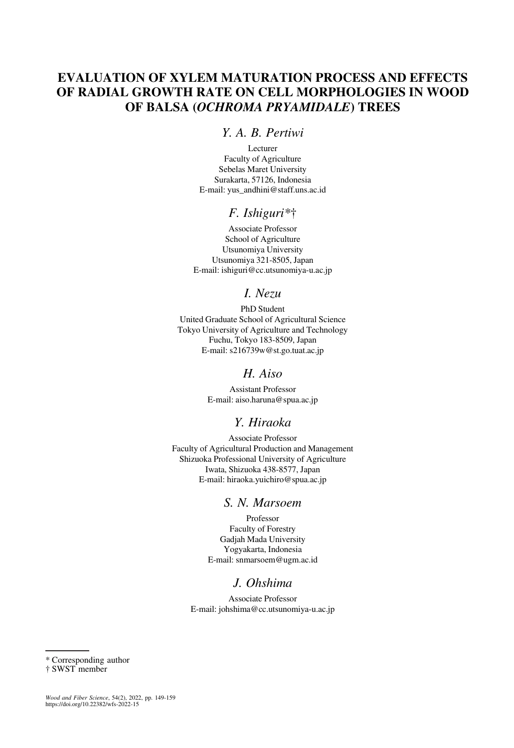# EVALUATION OF XYLEM MATURATION PROCESS AND EFFECTS OF RADIAL GROWTH RATE ON CELL MORPHOLOGIES IN WOOD OF BALSA (OCHROMA PRYAMIDALE) TREES

# Y. A. B. Pertiwi

Lecturer Faculty of Agriculture Sebelas Maret University Surakarta, 57126, Indonesia E-mail: [yus\\_andhini@staff.uns.ac.id](mailto:yus_andhini@staff.uns.ac.id)

# F. Ishiguri\*†

Associate Professor School of Agriculture Utsunomiya University Utsunomiya 321-8505, Japan E-mail: [ishiguri@cc.utsunomiya-u.ac.jp](mailto:ishiguri@cc.utsunomiya-u.ac.jp)

# I. Nezu

PhD Student United Graduate School of Agricultural Science Tokyo University of Agriculture and Technology Fuchu, Tokyo 183-8509, Japan E-mail: [s216739w@st.go.tuat.ac.jp](mailto:s216739w@st.go.tuat.ac.jp)

## H. Aiso

Assistant Professor E-mail: [aiso.haruna@spua.ac.jp](mailto:aiso.haruna@spua.ac.jp)

# Y. Hiraoka

Associate Professor Faculty of Agricultural Production and Management Shizuoka Professional University of Agriculture Iwata, Shizuoka 438-8577, Japan E-mail: [hiraoka.yuichiro@spua.ac.jp](mailto:hiraoka.yuichiro@spua.ac.jp)

# S. N. Marsoem

Professor Faculty of Forestry Gadjah Mada University Yogyakarta, Indonesia E-mail: [snmarsoem@ugm.ac.id](mailto:snmarsoem@ugm.ac.id)

# J. Ohshima

Associate Professor E-mail: [johshima@cc.utsunomiya-u.ac.jp](mailto:johshima@cc.utsunomiya-u.ac.jp)

<sup>\*</sup> Corresponding author

<sup>†</sup> SWST member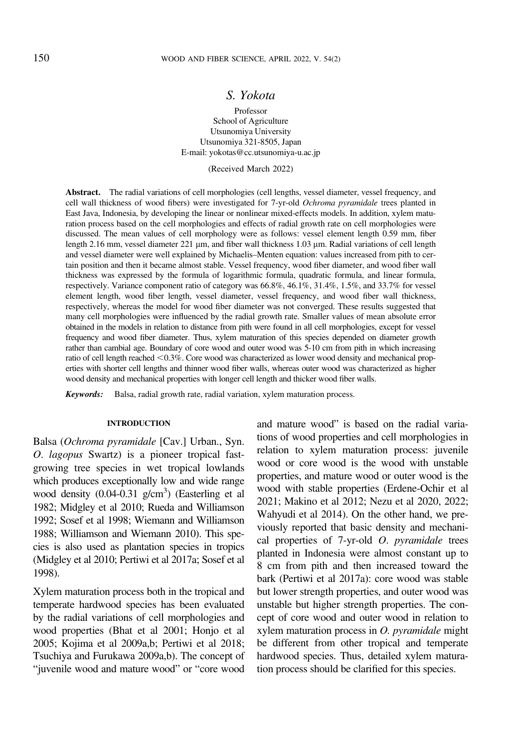## S. Yokota

Professor School of Agriculture Utsunomiya University Utsunomiya 321-8505, Japan E-mail: [yokotas@cc.utsunomiya-u.ac.jp](mailto:yokotas@cc.utsunomiya-u.ac.jp)

(Received March 2022)

Abstract. The radial variations of cell morphologies (cell lengths, vessel diameter, vessel frequency, and cell wall thickness of wood fibers) were investigated for 7-yr-old Ochroma pyramidale trees planted in East Java, Indonesia, by developing the linear or nonlinear mixed-effects models. In addition, xylem maturation process based on the cell morphologies and effects of radial growth rate on cell morphologies were discussed. The mean values of cell morphology were as follows: vessel element length 0.59 mm, fiber length 2.16 mm, vessel diameter  $221 \mu m$ , and fiber wall thickness 1.03  $\mu m$ . Radial variations of cell length and vessel diameter were well explained by Michaelis–Menten equation: values increased from pith to certain position and then it became almost stable. Vessel frequency, wood fiber diameter, and wood fiber wall thickness was expressed by the formula of logarithmic formula, quadratic formula, and linear formula, respectively. Variance component ratio of category was 66.8%, 46.1%, 31.4%, 1.5%, and 33.7% for vessel element length, wood fiber length, vessel diameter, vessel frequency, and wood fiber wall thickness, respectively, whereas the model for wood fiber diameter was not converged. These results suggested that many cell morphologies were influenced by the radial growth rate. Smaller values of mean absolute error obtained in the models in relation to distance from pith were found in all cell morphologies, except for vessel frequency and wood fiber diameter. Thus, xylem maturation of this species depended on diameter growth rather than cambial age. Boundary of core wood and outer wood was 5-10 cm from pith in which increasing ratio of cell length reached <0.3%. Core wood was characterized as lower wood density and mechanical properties with shorter cell lengths and thinner wood fiber walls, whereas outer wood was characterized as higher wood density and mechanical properties with longer cell length and thicker wood fiber walls.

Keywords: Balsa, radial growth rate, radial variation, xylem maturation process.

#### **INTRODUCTION**

Balsa (Ochroma pyramidale [Cav.] Urban., Syn. O. lagopus Swartz) is a pioneer tropical fastgrowing tree species in wet tropical lowlands which produces exceptionally low and wide range wood density  $(0.04-0.31 \text{ g/cm}^3)$  [\(Easterling et al](#page-9-0) [1982;](#page-9-0) [Midgley et al 2010](#page-10-0); [Rueda and Williamson](#page-10-0) [1992; Sosef et al 1998](#page-10-0); [Wiemann and Williamson](#page-10-0) [1988; Williamson and Wiemann 2010](#page-10-0)). This species is also used as plantation species in tropics [\(Midgley et al 2010](#page-10-0); [Pertiwi et al 2017a](#page-10-0); [Sosef et al](#page-10-0) [1998\)](#page-10-0).

Xylem maturation process both in the tropical and temperate hardwood species has been evaluated by the radial variations of cell morphologies and wood properties [\(Bhat et al 2001;](#page-9-0) [Honjo et al](#page-10-0) [2005](#page-10-0); [Kojima et al 2009a,b](#page-10-0); [Pertiwi et al 2018;](#page-10-0) [Tsuchiya and Furukawa 2009a,b](#page-10-0)). The concept of "juvenile wood and mature wood" or "core wood and mature wood" is based on the radial variations of wood properties and cell morphologies in relation to xylem maturation process: juvenile wood or core wood is the wood with unstable properties, and mature wood or outer wood is the wood with stable properties ([Erdene-Ochir et al](#page-9-0) [2021;](#page-9-0) [Makino et al 2012](#page-10-0); [Nezu et al 2020](#page-10-0), [2022](#page-10-0); [Wahyudi et al 2014\)](#page-10-0). On the other hand, we previously reported that basic density and mechanical properties of  $7$ -yr-old  $O$ . *pyramidale* trees planted in Indonesia were almost constant up to 8 cm from pith and then increased toward the bark [\(Pertiwi et al 2017a](#page-10-0)): core wood was stable but lower strength properties, and outer wood was unstable but higher strength properties. The concept of core wood and outer wood in relation to xylem maturation process in O. pyramidale might be different from other tropical and temperate hardwood species. Thus, detailed xylem maturation process should be clarified for this species.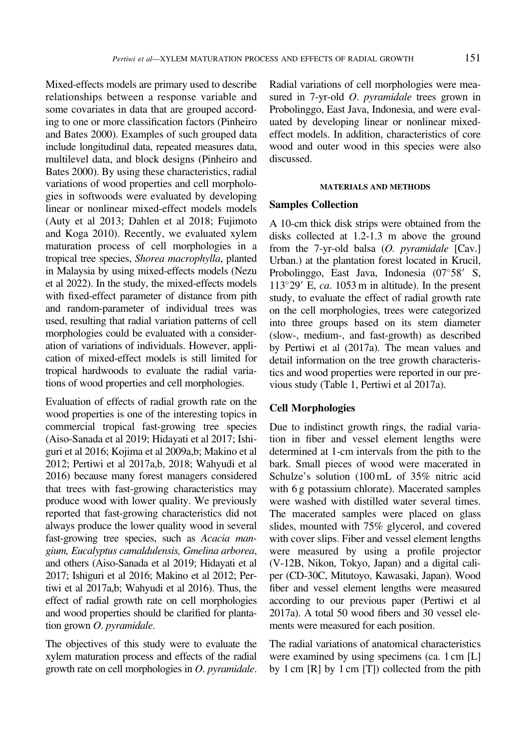Mixed-effects models are primary used to describe relationships between a response variable and some covariates in data that are grouped according to one or more classification factors ([Pinheiro](#page-10-0) [and Bates 2000](#page-10-0)). Examples of such grouped data include longitudinal data, repeated measures data, multilevel data, and block designs [\(Pinheiro and](#page-10-0) [Bates 2000\)](#page-10-0). By using these characteristics, radial variations of wood properties and cell morphologies in softwoods were evaluated by developing linear or nonlinear mixed-effect models models [\(Auty et al 2013; Dahlen et al 2018; Fujimoto](#page-9-0) [and Koga 2010\)](#page-9-0). Recently, we evaluated xylem maturation process of cell morphologies in a tropical tree species, Shorea macrophylla, planted in Malaysia by using mixed-effects models [\(Nezu](#page-10-0) [et al 2022\)](#page-10-0). In the study, the mixed-effects models with fixed-effect parameter of distance from pith and random-parameter of individual trees was used, resulting that radial variation patterns of cell morphologies could be evaluated with a consideration of variations of individuals. However, application of mixed-effect models is still limited for tropical hardwoods to evaluate the radial variations of wood properties and cell morphologies.

Evaluation of effects of radial growth rate on the wood properties is one of the interesting topics in commercial tropical fast-growing tree species [\(Aiso-Sanada et al 2019](#page-9-0); [Hidayati et al 2017;](#page-9-0) [Ishi](#page-10-0)[guri et al 2016; Kojima et al 2009a,b](#page-10-0); [Makino et al](#page-10-0) [2012](#page-10-0); Pertiwi et al [2017a,b, 2018; Wahyudi et al](#page-10-0) [2016](#page-10-0)) because many forest managers considered that trees with fast-growing characteristics may produce wood with lower quality. We previously reported that fast-growing characteristics did not always produce the lower quality wood in several fast-growing tree species, such as Acacia mangium, Eucalyptus camaldulensis, Gmelina arborea, and others [\(Aiso-Sanada et al 2019; Hidayati et al](#page-9-0) [2017;](#page-9-0) [Ishiguri et al 2016](#page-10-0); [Makino et al 2012; Per](#page-10-0)[tiwi et al 2017a,b; Wahyudi et al 2016\)](#page-10-0). Thus, the effect of radial growth rate on cell morphologies and wood properties should be clarified for plantation grown O. pyramidale.

The objectives of this study were to evaluate the xylem maturation process and effects of the radial growth rate on cell morphologies in O. pyramidale.

Radial variations of cell morphologies were measured in 7-yr-old *O. pyramidale* trees grown in Probolinggo, East Java, Indonesia, and were evaluated by developing linear or nonlinear mixedeffect models. In addition, characteristics of core wood and outer wood in this species were also discussed.

#### MATERIALS AND METHODS

### Samples Collection

A 10-cm thick disk strips were obtained from the disks collected at 1.2-1.3 m above the ground from the 7-yr-old balsa (O. pyramidale [Cav.] Urban.) at the plantation forest located in Krucil, Probolinggo, East Java, Indonesia  $(07°58'$  S,  $113^{\circ}29'$  E, ca. 1053 m in altitude). In the present study, to evaluate the effect of radial growth rate on the cell morphologies, trees were categorized into three groups based on its stem diameter (slow-, medium-, and fast-growth) as described by [Pertiwi et al \(2017a\)](#page-10-0). The mean values and detail information on the tree growth characteristics and wood properties were reported in our previous study (Table [1,](#page-3-0) [Pertiwi et al 2017a\)](#page-10-0).

## Cell Morphologies

Due to indistinct growth rings, the radial variation in fiber and vessel element lengths were determined at 1-cm intervals from the pith to the bark. Small pieces of wood were macerated in Schulze's solution (100 mL of 35% nitric acid with 6 g potassium chlorate). Macerated samples were washed with distilled water several times. The macerated samples were placed on glass slides, mounted with 75% glycerol, and covered with cover slips. Fiber and vessel element lengths were measured by using a profile projector (V-12B, Nikon, Tokyo, Japan) and a digital caliper (CD-30C, Mitutoyo, Kawasaki, Japan). Wood fiber and vessel element lengths were measured according to our previous paper [\(Pertiwi et al](#page-10-0) [2017a\)](#page-10-0). A total 50 wood fibers and 30 vessel elements were measured for each position.

The radial variations of anatomical characteristics were examined by using specimens (ca. 1 cm [L] by 1 cm [R] by 1 cm [T]) collected from the pith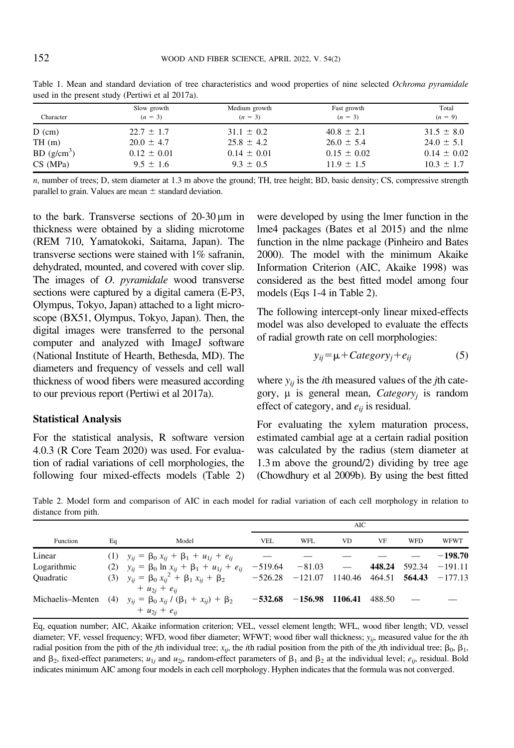| Character              | Slow growth<br>$(n = 3)$ | Medium growth<br>$(n = 3)$ | Fast growth<br>$(n = 3)$ | Total<br>$(n = 9)$ |
|------------------------|--------------------------|----------------------------|--------------------------|--------------------|
| $D$ (cm)               | $22.7 \pm 1.7$           | $31.1 \pm 0.2$             | $40.8 \pm 2.1$           | $31.5 \pm 8.0$     |
| TH(m)                  | $20.0 \pm 4.7$           | $25.8 \pm 4.2$             | $26.0 \pm 5.4$           | $24.0 \pm 5.1$     |
| BD(g/cm <sup>3</sup> ) | $0.12 \pm 0.01$          | $0.14 \pm 0.01$            | $0.15 \pm 0.02$          | $0.14 \pm 0.02$    |
| CS(MPa)                | $9.5 \pm 1.6$            | $9.3 \pm 0.5$              | $11.9 \pm 1.5$           | $10.3 \pm 1.7$     |

<span id="page-3-0"></span>Table 1. Mean and standard deviation of tree characteristics and wood properties of nine selected Ochroma pyramidale used in the present study ([Pertiwi et al 2017a](#page-10-0)).

 $n$ , number of trees; D, stem diameter at 1.3 m above the ground; TH, tree height; BD, basic density; CS, compressive strength parallel to grain. Values are mean  $\pm$  standard deviation.

to the bark. Transverse sections of  $20-30 \,\mu m$  in thickness were obtained by a sliding microtome (REM 710, Yamatokoki, Saitama, Japan). The transverse sections were stained with 1% safranin, dehydrated, mounted, and covered with cover slip. The images of *O. pyramidale* wood transverse sections were captured by a digital camera (E-P3, Olympus, Tokyo, Japan) attached to a light microscope (BX51, Olympus, Tokyo, Japan). Then, the digital images were transferred to the personal computer and analyzed with ImageJ software (National Institute of Hearth, Bethesda, MD). The diameters and frequency of vessels and cell wall thickness of wood fibers were measured according to our previous report ([Pertiwi et al 2017a](#page-10-0)).

## Statistical Analysis

For the statistical analysis, R software version 4.0.3 ([R Core Team 2020](#page-10-0)) was used. For evaluation of radial variations of cell morphologies, the following four mixed-effects models (Table 2) were developed by using the lmer function in the lme4 packages [\(Bates et al 2015](#page-9-0)) and the nlme function in the nlme package ([Pinheiro and Bates](#page-10-0) [2000\)](#page-10-0). The model with the minimum Akaike Information Criterion (AIC, [Akaike 1998\)](#page-9-0) was considered as the best fitted model among four models (Eqs 1-4 in Table 2).

The following intercept-only linear mixed-effects model was also developed to evaluate the effects of radial growth rate on cell morphologies:

$$
y_{ij} = \mu + C \text{ategory}_j + e_{ij} \tag{5}
$$

where  $y_{ij}$  is the *i*th measured values of the *j*th category,  $\mu$  is general mean, *Category<sub>i</sub>* is random effect of category, and  $e_{ij}$  is residual.

For evaluating the xylem maturation process, estimated cambial age at a certain radial position was calculated by the radius (stem diameter at 1.3 m above the ground/2) dividing by tree age [\(Chowdhury et al 2009b](#page-9-0)). By using the best fitted

|                  |    |                                                                               | AIC       |                                                     |         |        |            |                         |
|------------------|----|-------------------------------------------------------------------------------|-----------|-----------------------------------------------------|---------|--------|------------|-------------------------|
| Function         | Eq | Model                                                                         | VEL       | WFL                                                 | VD      | VF     | <b>WFD</b> | <b>WFWT</b>             |
| Linear           |    | (1) $y_{ii} = \beta_0 x_{ii} + \beta_1 + u_{1i} + e_{ii}$                     |           |                                                     |         |        |            | $-198.70$               |
| Logarithmic      |    | (2) $y_{ij} = \beta_0 \ln x_{ij} + \beta_1 + u_{1j} + e_{ij}$                 |           | $-519.64$ $-81.03$ —                                |         |        |            | 448.24 $592.34 -191.11$ |
| <b>Quadratic</b> |    | (3) $y_{ii} = \beta_0 x_{ii}^2 + \beta_1 x_{ii} + \beta_2$                    |           | $-526.28$ $-121.07$ 1140.46 464.51 564.43 $-177.13$ |         |        |            |                         |
|                  |    | $+ u_{2i} + e_{ii}$                                                           |           |                                                     |         |        |            |                         |
|                  |    | Michaelis–Menten (4) $y_{ii} = \beta_0 x_{ii} / (\beta_1 + x_{ii}) + \beta_2$ | $-532.68$ | $-156.98$                                           | 1106.41 | 488.50 |            |                         |
|                  |    | + $u_{2i}$ + $e_{ii}$                                                         |           |                                                     |         |        |            |                         |

Table 2. Model form and comparison of AIC in each model for radial variation of each cell morphology in relation to distance from pith.

Eq, equation number; AIC, Akaike information criterion; VEL, vessel element length; WFL, wood fiber length; VD, vessel diameter; VF, vessel frequency; WFD, wood fiber diameter; WFWT; wood fiber wall thickness;  $y_{ij}$ , measured value for the *i*th radial position from the pith of the jth individual tree;  $x_{ij}$ , the ith radial position from the pith of the jth individual tree;  $\beta_0$ ,  $\beta_1$ , and  $\beta_2$ , fixed-effect parameters;  $u_{1i}$  and  $u_{2i}$ , random-effect parameters of  $\beta_1$  and  $\beta_2$  at the individual level;  $e_{ii}$ , residual. Bold indicates minimum AIC among four models in each cell morphology. Hyphen indicates that the formula was not converged.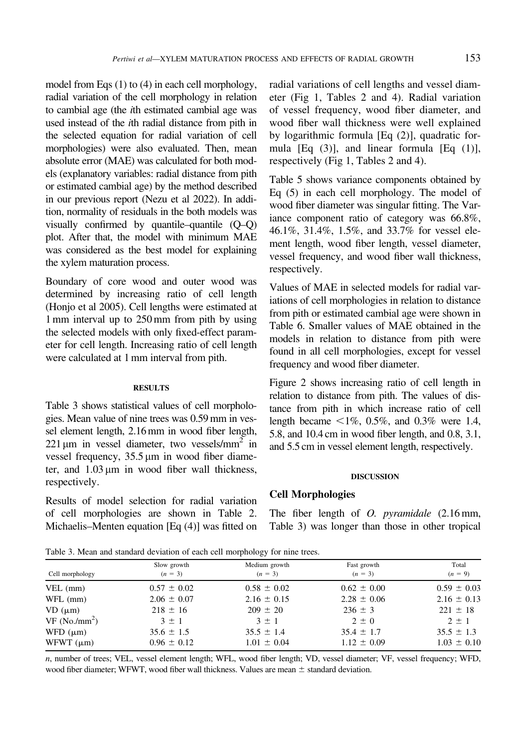<span id="page-4-0"></span>model from Eqs (1) to (4) in each cell morphology, radial variation of the cell morphology in relation to cambial age (the ith estimated cambial age was used instead of the ith radial distance from pith in the selected equation for radial variation of cell morphologies) were also evaluated. Then, mean absolute error (MAE) was calculated for both models (explanatory variables: radial distance from pith or estimated cambial age) by the method described in our previous report [\(Nezu et al 2022\)](#page-10-0). In addition, normality of residuals in the both models was visually confirmed by quantile–quantile (Q–Q) plot. After that, the model with minimum MAE was considered as the best model for explaining the xylem maturation process.

Boundary of core wood and outer wood was determined by increasing ratio of cell length [\(Honjo et al 2005\)](#page-10-0). Cell lengths were estimated at 1 mm interval up to 250 mm from pith by using the selected models with only fixed-effect parameter for cell length. Increasing ratio of cell length were calculated at 1 mm interval from pith.

### **RESULTS**

Table 3 shows statistical values of cell morphologies. Mean value of nine trees was 0.59 mm in vessel element length, 2.16 mm in wood fiber length,  $221 \mu m$  in vessel diameter, two vessels/mm<sup>2</sup> in vessel frequency,  $35.5 \text{ µm}$  in wood fiber diameter, and  $1.03 \mu m$  in wood fiber wall thickness, respectively.

Results of model selection for radial variation of cell morphologies are shown in Table [2.](#page-3-0) Michaelis–Menten equation [Eq (4)] was fitted on

radial variations of cell lengths and vessel diameter (Fig [1,](#page-5-0) Tables [2](#page-3-0) and [4\)](#page-6-0). Radial variation of vessel frequency, wood fiber diameter, and wood fiber wall thickness were well explained by logarithmic formula [Eq (2)], quadratic formula  $[Eq (3)]$ , and linear formula  $[Eq (1)]$ , respectively (Fig [1](#page-5-0), Tables [2](#page-3-0) and [4\)](#page-6-0).

Table [5](#page-6-0) shows variance components obtained by Eq [\(5\)](#page-3-0) in each cell morphology. The model of wood fiber diameter was singular fitting. The Variance component ratio of category was 66.8%, 46.1%, 31.4%, 1.5%, and 33.7% for vessel element length, wood fiber length, vessel diameter, vessel frequency, and wood fiber wall thickness, respectively.

Values of MAE in selected models for radial variations of cell morphologies in relation to distance from pith or estimated cambial age were shown in Table [6](#page-7-0). Smaller values of MAE obtained in the models in relation to distance from pith were found in all cell morphologies, except for vessel frequency and wood fiber diameter.

Figure [2](#page-7-0) shows increasing ratio of cell length in relation to distance from pith. The values of distance from pith in which increase ratio of cell length became  $\leq 1\%$ , 0.5%, and 0.3% were 1.4, 5.8, and 10.4 cm in wood fiber length, and 0.8, 3.1, and 5.5 cm in vessel element length, respectively.

#### DISCUSSION

### Cell Morphologies

The fiber length of *O. pyramidale* (2.16 mm, Table 3) was longer than those in other tropical

Table 3. Mean and standard deviation of each cell morphology for nine trees.

|                           | Slow growth     | Medium growth   | Fast growth     | Total           |
|---------------------------|-----------------|-----------------|-----------------|-----------------|
| Cell morphology           | $(n = 3)$       | $(n = 3)$       | $(n = 3)$       | $(n = 9)$       |
| $VEL$ (mm)                | $0.57 \pm 0.02$ | $0.58 \pm 0.02$ | $0.62 \pm 0.00$ | $0.59 \pm 0.03$ |
| $WFL$ (mm)                | $2.06 \pm 0.07$ | $2.16 \pm 0.15$ | $2.28 \pm 0.06$ | $2.16 \pm 0.13$ |
| $VD$ ( $\mu$ m)           | $218 \pm 16$    | $209 \pm 20$    | $236 \pm 3$     | $221 \pm 18$    |
| VF (No./mm <sup>2</sup> ) | $3 \pm 1$       | $3 \pm 1$       | $2 \pm 0$       | $2 \pm 1$       |
| $WFD$ ( $\mu$ m)          | $35.6 \pm 1.5$  | $35.5 \pm 1.4$  | $35.4 \pm 1.7$  | $35.5 \pm 1.3$  |
| WFWT $(\mu m)$            | $0.96 \pm 0.12$ | $1.01 \pm 0.04$ | $1.12 \pm 0.09$ | $1.03 \pm 0.10$ |

n, number of trees; VEL, vessel element length; WFL, wood fiber length; VD, vessel diameter; VF, vessel frequency; WFD, wood fiber diameter; WFWT, wood fiber wall thickness. Values are mean  $\pm$  standard deviation.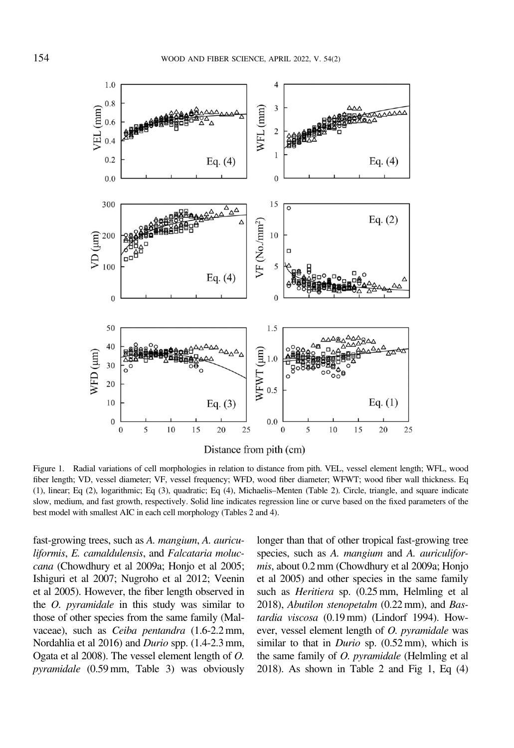<span id="page-5-0"></span>

Figure 1. Radial variations of cell morphologies in relation to distance from pith. VEL, vessel element length; WFL, wood fiber length; VD, vessel diameter; VF, vessel frequency; WFD, wood fiber diameter; WFWT; wood fiber wall thickness. Eq (1), linear; Eq (2), logarithmic; Eq (3), quadratic; Eq (4), Michaelis–Menten (Table [2](#page-3-0)). Circle, triangle, and square indicate slow, medium, and fast growth, respectively. Solid line indicates regression line or curve based on the fixed parameters of the best model with smallest AIC in each cell morphology (Tables [2](#page-3-0) and [4](#page-6-0)).

fast-growing trees, such as A. mangium, A. auriculiformis, E. camaldulensis, and Falcataria moluccana [\(Chowdhury et al 2009a;](#page-9-0) [Honjo et al 2005;](#page-10-0) [Ishiguri et al 2007; Nugroho et al 2012](#page-10-0); [Veenin](#page-10-0) [et al 2005](#page-10-0)). However, the fiber length observed in the O. pyramidale in this study was similar to those of other species from the same family (Malvaceae), such as Ceiba pentandra (1.6-2.2 mm, [Nordahlia et al 2016\)](#page-10-0) and Durio spp. (1.4-2.3 mm, [Ogata et al 2008](#page-10-0)). The vessel element length of O. pyramidale (0.59 mm, Table [3\)](#page-4-0) was obviously

longer than that of other tropical fast-growing tree species, such as A. mangium and A. auriculiformis, about 0.2 mm [\(Chowdhury et al 2009a;](#page-9-0) [Honjo](#page-10-0) [et al 2005\)](#page-10-0) and other species in the same family such as Heritiera sp. (0.25 mm, [Helmling et al](#page-9-0) [2018\)](#page-9-0), Abutilon stenopetalm (0.22 mm), and Bastardia viscosa (0.19 mm) [\(Lindorf 1994](#page-10-0)). However, vessel element length of O. pyramidale was similar to that in *Durio* sp. (0.52 mm), which is the same family of O. pyramidale [\(Helmling et al](#page-9-0) [2018\)](#page-9-0). As shown in Table [2](#page-3-0) and Fig 1, Eq (4)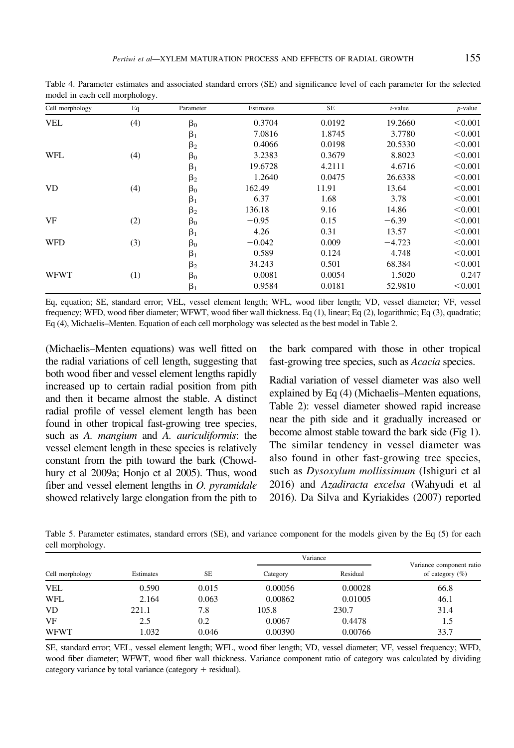| Cell morphology | Eq  | Parameter | Estimates | $\rm SE$ | $t$ -value | $p$ -value |
|-----------------|-----|-----------|-----------|----------|------------|------------|
| <b>VEL</b>      | (4) | $\beta_0$ | 0.3704    | 0.0192   | 19.2660    | < 0.001    |
|                 |     | $\beta_1$ | 7.0816    | 1.8745   | 3.7780     | < 0.001    |
|                 |     | $\beta_2$ | 0.4066    | 0.0198   | 20.5330    | < 0.001    |
| WFL             | (4) | $\beta_0$ | 3.2383    | 0.3679   | 8.8023     | < 0.001    |
|                 |     | $\beta_1$ | 19.6728   | 4.2111   | 4.6716     | < 0.001    |
|                 |     | $\beta_2$ | 1.2640    | 0.0475   | 26.6338    | < 0.001    |
| VD.             | (4) | $\beta_0$ | 162.49    | 11.91    | 13.64      | < 0.001    |
|                 |     | $\beta_1$ | 6.37      | 1.68     | 3.78       | < 0.001    |
|                 |     | $\beta_2$ | 136.18    | 9.16     | 14.86      | < 0.001    |
| VF              | (2) | $\beta_0$ | $-0.95$   | 0.15     | $-6.39$    | < 0.001    |
|                 |     | $\beta_1$ | 4.26      | 0.31     | 13.57      | < 0.001    |
| <b>WFD</b>      | (3) | $\beta_0$ | $-0.042$  | 0.009    | $-4.723$   | < 0.001    |
|                 |     | $\beta_1$ | 0.589     | 0.124    | 4.748      | < 0.001    |
|                 |     | $\beta_2$ | 34.243    | 0.501    | 68.384     | < 0.001    |
| <b>WFWT</b>     | (1) | $\beta_0$ | 0.0081    | 0.0054   | 1.5020     | 0.247      |
|                 |     | $\beta_1$ | 0.9584    | 0.0181   | 52.9810    | < 0.001    |

<span id="page-6-0"></span>Table 4. Parameter estimates and associated standard errors (SE) and significance level of each parameter for the selected model in each cell morphology.

Eq, equation; SE, standard error; VEL, vessel element length; WFL, wood fiber length; VD, vessel diameter; VF, vessel frequency; WFD, wood fiber diameter; WFWT, wood fiber wall thickness. Eq (1), linear; Eq (2), logarithmic; Eq (3), quadratic; Eq (4), Michaelis–Menten. Equation of each cell morphology was selected as the best model in Table [2.](#page-3-0)

(Michaelis–Menten equations) was well fitted on the radial variations of cell length, suggesting that both wood fiber and vessel element lengths rapidly increased up to certain radial position from pith and then it became almost the stable. A distinct radial profile of vessel element length has been found in other tropical fast-growing tree species, such as A. mangium and A. auriculiformis: the vessel element length in these species is relatively constant from the pith toward the bark [\(Chowd](#page-9-0)[hury et al 2009a](#page-9-0); [Honjo et al 2005](#page-10-0)). Thus, wood fiber and vessel element lengths in  $O$ . *pyramidale* showed relatively large elongation from the pith to

the bark compared with those in other tropical fast-growing tree species, such as Acacia species.

Radial variation of vessel diameter was also well explained by Eq (4) (Michaelis–Menten equations, Table [2\)](#page-3-0): vessel diameter showed rapid increase near the pith side and it gradually increased or become almost stable toward the bark side (Fig [1](#page-5-0)). The similar tendency in vessel diameter was also found in other fast-growing tree species, such as Dysoxylum mollissimum [\(Ishiguri et al](#page-10-0) [2016](#page-10-0)) and Azadiracta excelsa [\(Wahyudi et al](#page-10-0) [2016](#page-10-0)). [Da Silva and Kyriakides \(2007\)](#page-9-0) reported

Table 5. Parameter estimates, standard errors (SE), and variance component for the models given by the Eq [\(5](#page-3-0)) for each cell morphology.

|                 |           |       |          | Variance |                                                |
|-----------------|-----------|-------|----------|----------|------------------------------------------------|
| Cell morphology | Estimates | SE.   | Category | Residual | Variance component ratio<br>of category $(\%)$ |
| <b>VEL</b>      | 0.590     | 0.015 | 0.00056  | 0.00028  | 66.8                                           |
| WFL             | 2.164     | 0.063 | 0.00862  | 0.01005  | 46.1                                           |
| VD              | 221.1     | 7.8   | 105.8    | 230.7    | 31.4                                           |
| VF              | 2.5       | 0.2   | 0.0067   | 0.4478   | 1.5                                            |
| <b>WFWT</b>     | 1.032     | 0.046 | 0.00390  | 0.00766  | 33.7                                           |

SE, standard error; VEL, vessel element length; WFL, wood fiber length; VD, vessel diameter; VF, vessel frequency; WFD, wood fiber diameter; WFWT, wood fiber wall thickness. Variance component ratio of category was calculated by dividing category variance by total variance (category  $+$  residual).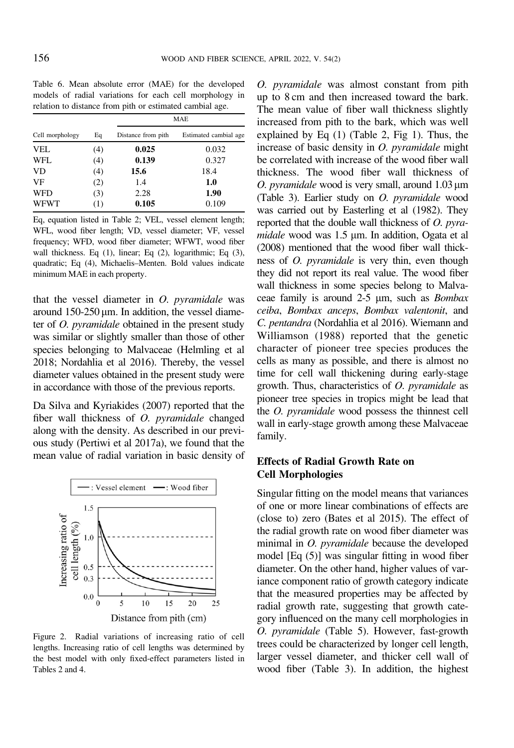<span id="page-7-0"></span>Table 6. Mean absolute error (MAE) for the developed models of radial variations for each cell morphology in relation to distance from pith or estimated cambial age.

|                       |     | MAE                |                       |  |  |
|-----------------------|-----|--------------------|-----------------------|--|--|
| Eq<br>Cell morphology |     | Distance from pith | Estimated cambial age |  |  |
| <b>VEL</b>            | (4) | 0.025              | 0.032                 |  |  |
| WFL                   | (4) | 0.139              | 0.327                 |  |  |
| VD.                   | (4) | 15.6               | 18.4                  |  |  |
| VF                    | (2) | 1.4                | 1.0                   |  |  |
| <b>WFD</b>            | (3) | 2.28               | 1.90                  |  |  |
| <b>WFWT</b>           | (1) | 0.105              | 0.109                 |  |  |

Eq, equation listed in Table [2;](#page-3-0) VEL, vessel element length; WFL, wood fiber length; VD, vessel diameter; VF, vessel frequency; WFD, wood fiber diameter; WFWT, wood fiber wall thickness. Eq (1), linear; Eq (2), logarithmic; Eq (3), quadratic; Eq (4), Michaelis–Menten. Bold values indicate minimum MAE in each property.

that the vessel diameter in  $O$ . *pyramidale* was around  $150-250 \,\text{\ensuremath{\mu}m}$ . In addition, the vessel diameter of O. pyramidale obtained in the present study was similar or slightly smaller than those of other species belonging to Malvaceae [\(Helmling et al](#page-9-0) [2018;](#page-9-0) [Nordahlia et al 2016](#page-10-0)). Thereby, the vessel diameter values obtained in the present study were in accordance with those of the previous reports.

[Da Silva and Kyriakides \(2007\)](#page-9-0) reported that the fiber wall thickness of O. pyramidale changed along with the density. As described in our previous study [\(Pertiwi et al 2017a\)](#page-10-0), we found that the mean value of radial variation in basic density of



Figure 2. Radial variations of increasing ratio of cell lengths. Increasing ratio of cell lengths was determined by the best model with only fixed-effect parameters listed in Tables [2](#page-3-0) and [4.](#page-6-0)

O. pyramidale was almost constant from pith up to 8 cm and then increased toward the bark. The mean value of fiber wall thickness slightly increased from pith to the bark, which was well explained by Eq (1) (Table [2,](#page-3-0) Fig [1\)](#page-5-0). Thus, the increase of basic density in O. pyramidale might be correlated with increase of the wood fiber wall thickness. The wood fiber wall thickness of O. pyramidale wood is very small, around  $1.03 \,\mu m$ (Table [3\)](#page-4-0). Earlier study on O. pyramidale wood was carried out by [Easterling et al \(1982\).](#page-9-0) They reported that the double wall thickness of O. pyra $midale$  wood was  $1.5 \mu m$ . In addition, [Ogata et al](#page-10-0) [\(2008\)](#page-10-0) mentioned that the wood fiber wall thickness of O. pyramidale is very thin, even though they did not report its real value. The wood fiber wall thickness in some species belong to Malvaceae family is around  $2-5 \mu m$ , such as *Bombax* ceiba, Bombax anceps, Bombax valentonit, and C. pentandra ([Nordahlia et al 2016\)](#page-10-0). [Wiemann and](#page-10-0) [Williamson \(1988\)](#page-10-0) reported that the genetic character of pioneer tree species produces the cells as many as possible, and there is almost no time for cell wall thickening during early-stage growth. Thus, characteristics of O. pyramidale as pioneer tree species in tropics might be lead that the O. pyramidale wood possess the thinnest cell wall in early-stage growth among these Malvaceae family.

# Effects of Radial Growth Rate on Cell Morphologies

Singular fitting on the model means that variances of one or more linear combinations of effects are (close to) zero [\(Bates et al 2015\)](#page-9-0). The effect of the radial growth rate on wood fiber diameter was minimal in O. pyramidale because the developed model [Eq ([5\)](#page-3-0)] was singular fitting in wood fiber diameter. On the other hand, higher values of variance component ratio of growth category indicate that the measured properties may be affected by radial growth rate, suggesting that growth category influenced on the many cell morphologies in O. pyramidale (Table [5](#page-6-0)). However, fast-growth trees could be characterized by longer cell length, larger vessel diameter, and thicker cell wall of wood fiber (Table [3](#page-4-0)). In addition, the highest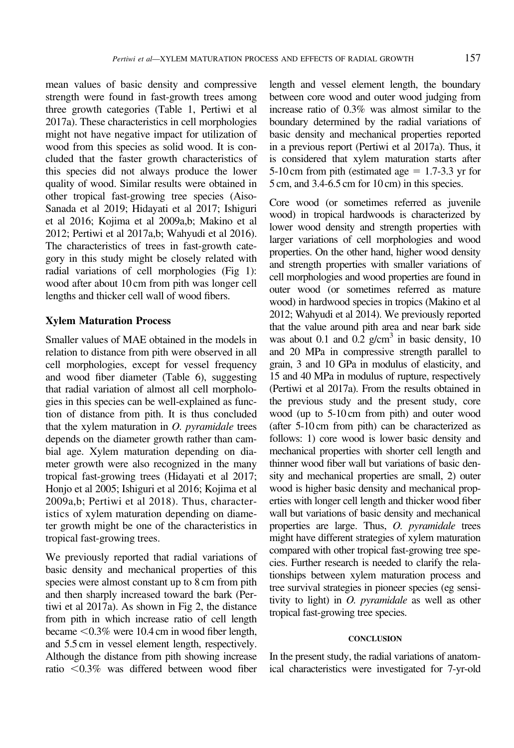mean values of basic density and compressive strength were found in fast-growth trees among three growth categories (Table [1,](#page-3-0) [Pertiwi et al](#page-10-0) [2017a\)](#page-10-0). These characteristics in cell morphologies might not have negative impact for utilization of wood from this species as solid wood. It is concluded that the faster growth characteristics of this species did not always produce the lower quality of wood. Similar results were obtained in other tropical fast-growing tree species [\(Aiso-](#page-9-0)[Sanada et al 2019](#page-9-0); [Hidayati et al 2017](#page-9-0); [Ishiguri](#page-10-0) [et al 2016](#page-10-0); [Kojima et al 2009a,b](#page-10-0); [Makino et al](#page-10-0) [2012](#page-10-0); [Pertiwi et al 2017a,b; Wahyudi et al 2016\)](#page-10-0). The characteristics of trees in fast-growth category in this study might be closely related with radial variations of cell morphologies (Fig [1](#page-5-0)): wood after about 10 cm from pith was longer cell lengths and thicker cell wall of wood fibers.

## Xylem Maturation Process

Smaller values of MAE obtained in the models in relation to distance from pith were observed in all cell morphologies, except for vessel frequency and wood fiber diameter (Table [6](#page-7-0)), suggesting that radial variation of almost all cell morphologies in this species can be well-explained as function of distance from pith. It is thus concluded that the xylem maturation in  $O$ . *pyramidale* trees depends on the diameter growth rather than cambial age. Xylem maturation depending on diameter growth were also recognized in the many tropical fast-growing trees ([Hidayati et al 2017;](#page-9-0) [Honjo et al 2005](#page-10-0); [Ishiguri et al 2016; Kojima et al](#page-10-0) [2009a,b](#page-10-0); [Pertiwi et al 2018](#page-10-0)). Thus, characteristics of xylem maturation depending on diameter growth might be one of the characteristics in tropical fast-growing trees.

We previously reported that radial variations of basic density and mechanical properties of this species were almost constant up to 8 cm from pith and then sharply increased toward the bark ([Per](#page-10-0)[tiwi et al 2017a\)](#page-10-0). As shown in Fig [2](#page-7-0), the distance from pith in which increase ratio of cell length became  $< 0.3\%$  were 10.4 cm in wood fiber length, and 5.5 cm in vessel element length, respectively. Although the distance from pith showing increase ratio  $\leq 0.3\%$  was differed between wood fiber

length and vessel element length, the boundary between core wood and outer wood judging from increase ratio of 0.3% was almost similar to the boundary determined by the radial variations of basic density and mechanical properties reported in a previous report [\(Pertiwi et al 2017a\)](#page-10-0). Thus, it is considered that xylem maturation starts after 5-10 cm from pith (estimated age  $= 1.7$ -3.3 yr for 5 cm, and 3.4-6.5 cm for 10 cm) in this species.

Core wood (or sometimes referred as juvenile wood) in tropical hardwoods is characterized by lower wood density and strength properties with larger variations of cell morphologies and wood properties. On the other hand, higher wood density and strength properties with smaller variations of cell morphologies and wood properties are found in outer wood (or sometimes referred as mature wood) in hardwood species in tropics [\(Makino et al](#page-10-0) [2012](#page-10-0); [Wahyudi et al 2014](#page-10-0)). We previously reported that the value around pith area and near bark side was about 0.1 and 0.2  $g/cm<sup>3</sup>$  in basic density, 10 and 20 MPa in compressive strength parallel to grain, 3 and 10 GPa in modulus of elasticity, and 15 and 40 MPa in modulus of rupture, respectively ([Pertiwi et al 2017a\)](#page-10-0). From the results obtained in the previous study and the present study, core wood (up to 5-10 cm from pith) and outer wood (after 5-10 cm from pith) can be characterized as follows: 1) core wood is lower basic density and mechanical properties with shorter cell length and thinner wood fiber wall but variations of basic density and mechanical properties are small, 2) outer wood is higher basic density and mechanical properties with longer cell length and thicker wood fiber wall but variations of basic density and mechanical properties are large. Thus, O. pyramidale trees might have different strategies of xylem maturation compared with other tropical fast-growing tree species. Further research is needed to clarify the relationships between xylem maturation process and tree survival strategies in pioneer species (eg sensitivity to light) in O. pyramidale as well as other tropical fast-growing tree species.

#### **CONCLUSION**

In the present study, the radial variations of anatomical characteristics were investigated for 7-yr-old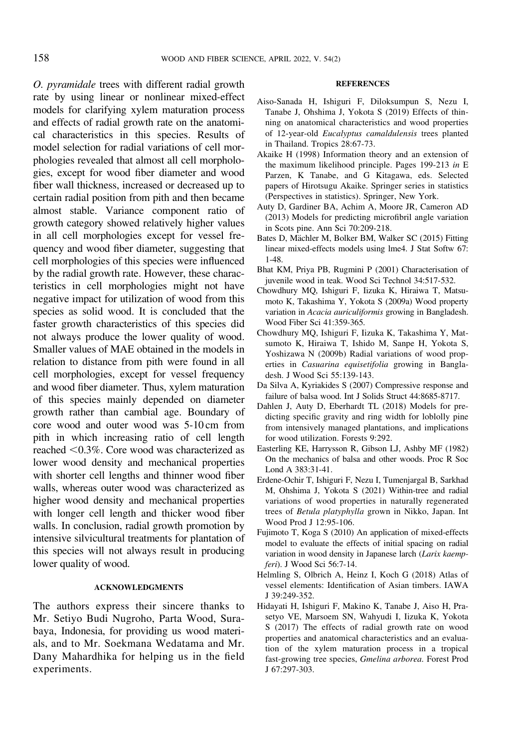<span id="page-9-0"></span>O. pyramidale trees with different radial growth rate by using linear or nonlinear mixed-effect models for clarifying xylem maturation process and effects of radial growth rate on the anatomical characteristics in this species. Results of model selection for radial variations of cell morphologies revealed that almost all cell morphologies, except for wood fiber diameter and wood fiber wall thickness, increased or decreased up to certain radial position from pith and then became almost stable. Variance component ratio of growth category showed relatively higher values in all cell morphologies except for vessel frequency and wood fiber diameter, suggesting that cell morphologies of this species were influenced by the radial growth rate. However, these characteristics in cell morphologies might not have negative impact for utilization of wood from this species as solid wood. It is concluded that the faster growth characteristics of this species did not always produce the lower quality of wood. Smaller values of MAE obtained in the models in relation to distance from pith were found in all cell morphologies, except for vessel frequency and wood fiber diameter. Thus, xylem maturation of this species mainly depended on diameter growth rather than cambial age. Boundary of core wood and outer wood was 5-10 cm from pith in which increasing ratio of cell length reached <0.3%. Core wood was characterized as lower wood density and mechanical properties with shorter cell lengths and thinner wood fiber walls, whereas outer wood was characterized as higher wood density and mechanical properties with longer cell length and thicker wood fiber walls. In conclusion, radial growth promotion by intensive silvicultural treatments for plantation of this species will not always result in producing lower quality of wood.

## ACKNOWLEDGMENTS

The authors express their sincere thanks to Mr. Setiyo Budi Nugroho, Parta Wood, Surabaya, Indonesia, for providing us wood materials, and to Mr. Soekmana Wedatama and Mr. Dany Mahardhika for helping us in the field experiments.

#### **REFERENCES**

- Aiso-Sanada H, Ishiguri F, Diloksumpun S, Nezu I, Tanabe J, Ohshima J, Yokota S (2019) Effects of thinning on anatomical characteristics and wood properties of 12-year-old Eucalyptus camaldulensis trees planted in Thailand. Tropics 28:67-73.
- Akaike H (1998) Information theory and an extension of the maximum likelihood principle. Pages 199-213 in E Parzen, K Tanabe, and G Kitagawa, eds. Selected papers of Hirotsugu Akaike. Springer series in statistics (Perspectives in statistics). Springer, New York.
- Auty D, Gardiner BA, Achim A, Moore JR, Cameron AD (2013) Models for predicting microfibril angle variation in Scots pine. Ann Sci 70:209-218.
- Bates D, Mächler M, Bolker BM, Walker SC (2015) Fitting linear mixed-effects models using lme4. J Stat Softw 67: 1-48.
- Bhat KM, Priya PB, Rugmini P (2001) Characterisation of juvenile wood in teak. Wood Sci Technol 34:517-532.
- Chowdhury MQ, Ishiguri F, Iizuka K, Hiraiwa T, Matsumoto K, Takashima Y, Yokota S (2009a) Wood property variation in Acacia auriculiformis growing in Bangladesh. Wood Fiber Sci 41:359-365.
- Chowdhury MQ, Ishiguri F, Iizuka K, Takashima Y, Matsumoto K, Hiraiwa T, Ishido M, Sanpe H, Yokota S, Yoshizawa N (2009b) Radial variations of wood properties in Casuarina equisetifolia growing in Bangladesh. J Wood Sci 55:139-143.
- Da Silva A, Kyriakides S (2007) Compressive response and failure of balsa wood. Int J Solids Struct 44:8685-8717.
- Dahlen J, Auty D, Eberhardt TL (2018) Models for predicting specific gravity and ring width for loblolly pine from intensively managed plantations, and implications for wood utilization. Forests 9:292.
- Easterling KE, Harrysson R, Gibson LJ, Ashby MF (1982) On the mechanics of balsa and other woods. Proc R Soc Lond A 383:31-41.
- Erdene-Ochir T, Ishiguri F, Nezu I, Tumenjargal B, Sarkhad M, Ohshima J, Yokota S (2021) Within-tree and radial variations of wood properties in naturally regenerated trees of Betula platyphylla grown in Nikko, Japan. Int Wood Prod J 12:95-106.
- Fujimoto T, Koga S (2010) An application of mixed-effects model to evaluate the effects of initial spacing on radial variation in wood density in Japanese larch (Larix kaempferi). J Wood Sci 56:7-14.
- Helmling S, Olbrich A, Heinz I, Koch G (2018) Atlas of vessel elements: Identification of Asian timbers. IAWA J 39:249-352.
- Hidayati H, Ishiguri F, Makino K, Tanabe J, Aiso H, Prasetyo VE, Marsoem SN, Wahyudi I, Iizuka K, Yokota S (2017) The effects of radial growth rate on wood properties and anatomical characteristics and an evaluation of the xylem maturation process in a tropical fast-growing tree species, Gmelina arborea. Forest Prod J 67:297-303.